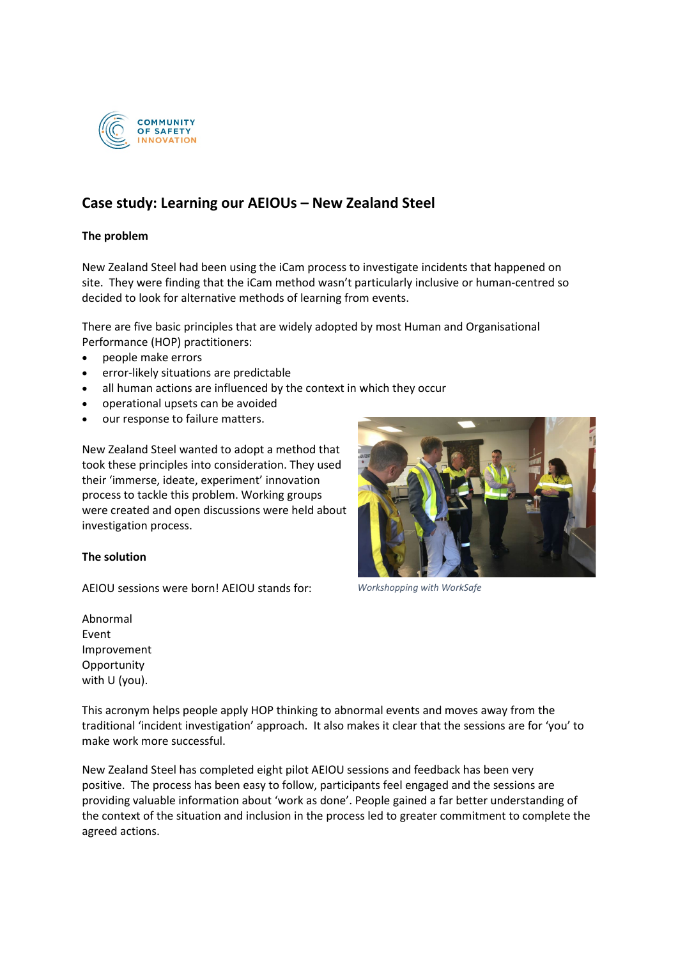

## **Case study: Learning our AEIOUs – New Zealand Steel**

## **The problem**

New Zealand Steel had been using the iCam process to investigate incidents that happened on site. They were finding that the iCam method wasn't particularly inclusive or human-centred so decided to look for alternative methods of learning from events.

There are five basic principles that are widely adopted by most Human and Organisational Performance (HOP) practitioners:

- people make errors
- error-likely situations are predictable
- all human actions are influenced by the context in which they occur
- operational upsets can be avoided
- our response to failure matters.

New Zealand Steel wanted to adopt a method that took these principles into consideration. They used their 'immerse, ideate, experiment' innovation process to tackle this problem. Working groups were created and open discussions were held about investigation process.

## **The solution**

AEIOU sessions were born! AEIOU stands for:

*Workshopping with WorkSafe*

Abnormal Event Improvement **Opportunity** with U (you).

This acronym helps people apply HOP thinking to abnormal events and moves away from the traditional 'incident investigation' approach. It also makes it clear that the sessions are for 'you' to make work more successful.

New Zealand Steel has completed eight pilot AEIOU sessions and feedback has been very positive. The process has been easy to follow, participants feel engaged and the sessions are providing valuable information about 'work as done'. People gained a far better understanding of the context of the situation and inclusion in the process led to greater commitment to complete the agreed actions.